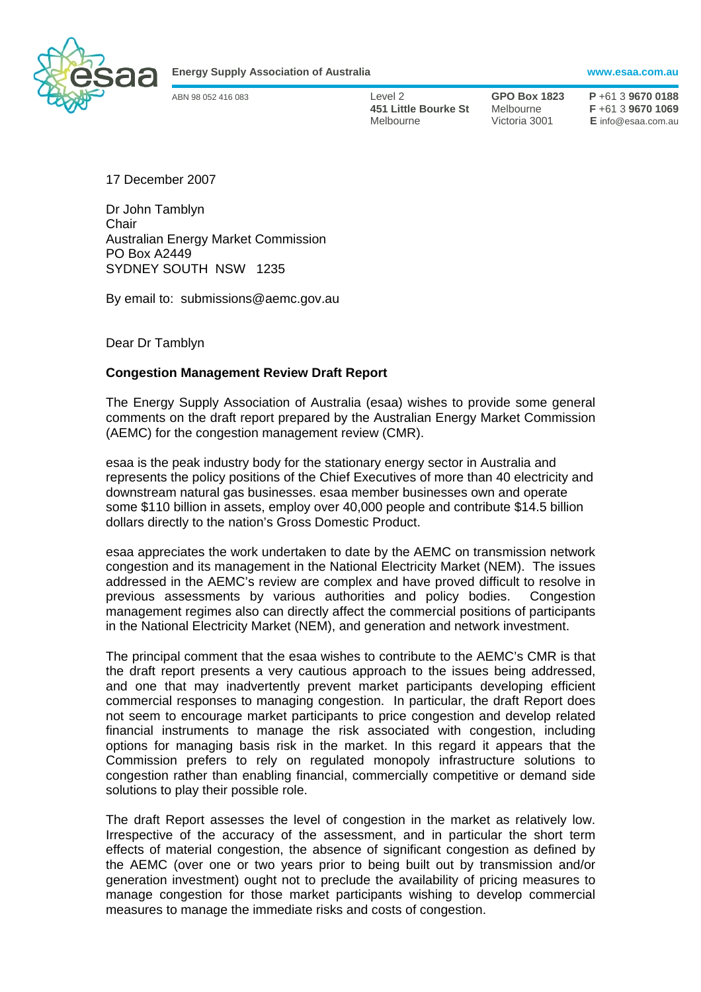

**Energy Supply Association of Australia www.esaa.com.au** 

ABN 98 052 416 083 Level 2 **GPO Box 1823 P** +61 3 **9670 0188 451 Little Bourke St** Melbourne **F** +61 3 **9670 1069**  Melbourne Victoria 3001 **E** info@esaa.com.au

17 December 2007

Dr John Tamblyn **Chair** Australian Energy Market Commission PO Box A2449 SYDNEY SOUTH NSW 1235

By email to: submissions@aemc.gov.au

Dear Dr Tamblyn

## **Congestion Management Review Draft Report**

The Energy Supply Association of Australia (esaa) wishes to provide some general comments on the draft report prepared by the Australian Energy Market Commission (AEMC) for the congestion management review (CMR).

esaa is the peak industry body for the stationary energy sector in Australia and represents the policy positions of the Chief Executives of more than 40 electricity and downstream natural gas businesses. esaa member businesses own and operate some \$110 billion in assets, employ over 40,000 people and contribute \$14.5 billion dollars directly to the nation's Gross Domestic Product.

esaa appreciates the work undertaken to date by the AEMC on transmission network congestion and its management in the National Electricity Market (NEM). The issues addressed in the AEMC's review are complex and have proved difficult to resolve in previous assessments by various authorities and policy bodies. Congestion management regimes also can directly affect the commercial positions of participants in the National Electricity Market (NEM), and generation and network investment.

The principal comment that the esaa wishes to contribute to the AEMC's CMR is that the draft report presents a very cautious approach to the issues being addressed, and one that may inadvertently prevent market participants developing efficient commercial responses to managing congestion. In particular, the draft Report does not seem to encourage market participants to price congestion and develop related financial instruments to manage the risk associated with congestion, including options for managing basis risk in the market. In this regard it appears that the Commission prefers to rely on regulated monopoly infrastructure solutions to congestion rather than enabling financial, commercially competitive or demand side solutions to play their possible role.

The draft Report assesses the level of congestion in the market as relatively low. Irrespective of the accuracy of the assessment, and in particular the short term effects of material congestion, the absence of significant congestion as defined by the AEMC (over one or two years prior to being built out by transmission and/or generation investment) ought not to preclude the availability of pricing measures to manage congestion for those market participants wishing to develop commercial measures to manage the immediate risks and costs of congestion.